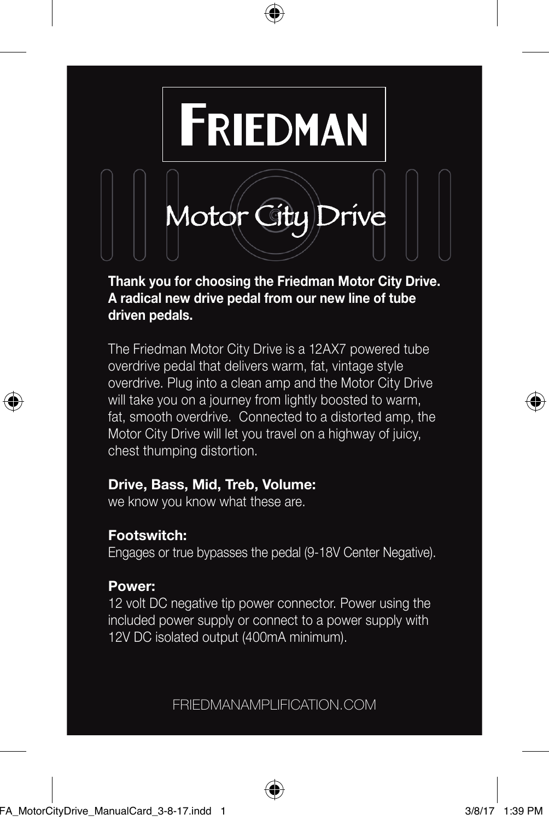

€

**Thank you for choosing the Friedman Motor City Drive. A radical new drive pedal from our new line of tube driven pedals.**

The Friedman Motor City Drive is a 12AX7 powered tube overdrive pedal that delivers warm, fat, vintage style overdrive. Plug into a clean amp and the Motor City Drive will take you on a journey from lightly boosted to warm, fat, smooth overdrive. Connected to a distorted amp, the Motor City Drive will let you travel on a highway of juicy, chest thumping distortion.

# **Drive, Bass, Mid, Treb, Volume:**

we know you know what these are.

# **Footswitch:**

Engages or true bypasses the pedal (9-18V Center Negative).

# **Power:**

12 volt DC negative tip power connector. Power using the included power supply or connect to a power supply with 12V DC isolated output (400mA minimum).

FRIEDMANAMPLIFICATION.COM

⊕